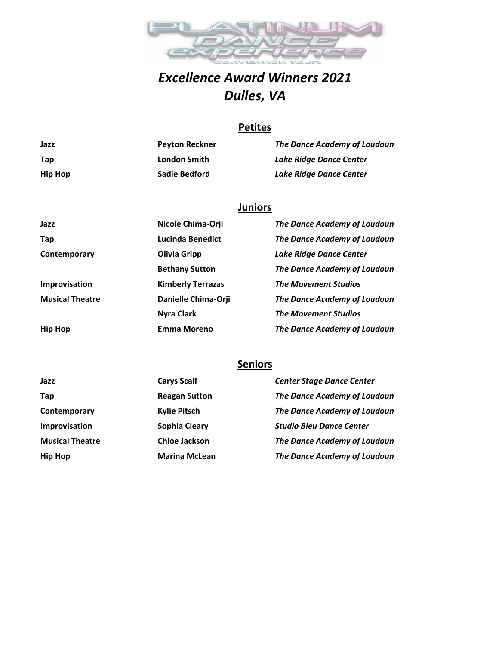

# *Excellence Award Winners 2021 Dulles, VA*

## **Petites**

| Jazz           | <b>Peyton Reckner</b> | <b>The Dance Academy of Loudoun</b> |
|----------------|-----------------------|-------------------------------------|
| Tap            | London Smith          | Lake Ridge Dance Center             |
| <b>Hip Hop</b> | Sadie Bedford         | <b>Lake Ridge Dance Center</b>      |

### **Juniors**

| Jazz                   | Nicole Chima-Orji        | The Dance Academy of Loudoun   |
|------------------------|--------------------------|--------------------------------|
| Tap                    | <b>Lucinda Benedict</b>  | The Dance Academy of Loudoun   |
| Contemporary           | <b>Olivia Gripp</b>      | <b>Lake Ridge Dance Center</b> |
|                        | <b>Bethany Sutton</b>    | The Dance Academy of Loudoun   |
| Improvisation          | <b>Kimberly Terrazas</b> | <b>The Movement Studios</b>    |
| <b>Musical Theatre</b> | Danielle Chima-Orji      | The Dance Academy of Loudoun   |
|                        | <b>Nyra Clark</b>        | <b>The Movement Studios</b>    |
| <b>Hip Hop</b>         | <b>Emma Moreno</b>       | The Dance Academy of Loudoun   |

## **Seniors**

| Jazz                   | <b>Carys Scalf</b>   | <b>Center Stage Dance Center</b>    |
|------------------------|----------------------|-------------------------------------|
| Tap                    | <b>Reagan Sutton</b> | <b>The Dance Academy of Loudoun</b> |
| Contemporary           | <b>Kylie Pitsch</b>  | <b>The Dance Academy of Loudoun</b> |
| Improvisation          | Sophia Cleary        | <b>Studio Bleu Dance Center</b>     |
| <b>Musical Theatre</b> | <b>Chloe Jackson</b> | <b>The Dance Academy of Loudoun</b> |
| <b>Hip Hop</b>         | <b>Marina McLean</b> | The Dance Academy of Loudoun        |